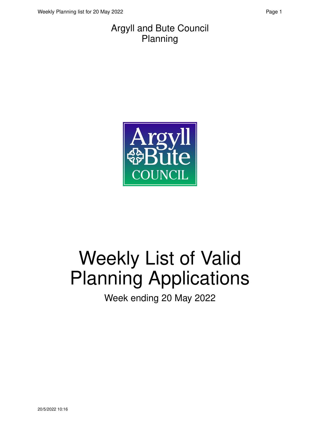#### Argyll and Bute Council Planning



# Weekly List of Valid Planning Applications

Week ending 20 May 2022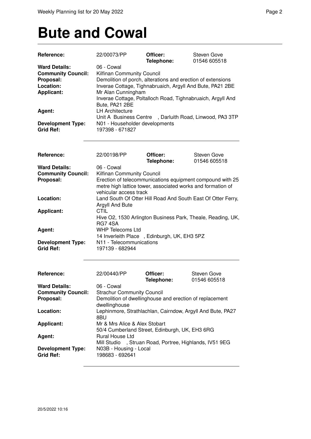### **Bute and Cowal**

| Reference:                | 22/00073/PP                                                 | Officer:   | Steven Gove                                              |
|---------------------------|-------------------------------------------------------------|------------|----------------------------------------------------------|
|                           |                                                             | Telephone: | 01546 605518                                             |
| <b>Ward Details:</b>      | 06 - Cowal                                                  |            |                                                          |
| <b>Community Council:</b> | Kilfinan Community Council                                  |            |                                                          |
| Proposal:                 | Demolition of porch, alterations and erection of extensions |            |                                                          |
| Location:                 | Inverae Cottage, Tighnabruaich, Argyll And Bute, PA21 2BE   |            |                                                          |
| <b>Applicant:</b>         | Mr Alan Cunningham                                          |            |                                                          |
|                           | Inverae Cottage, Poltalloch Road, Tighnabruaich, Argyll And |            |                                                          |
|                           | Bute, PA21 2BE                                              |            |                                                          |
| Agent:                    | <b>LH Architecture</b>                                      |            |                                                          |
|                           |                                                             |            | Unit A Business Centre , Darluith Road, Linwood, PA3 3TP |
| <b>Development Type:</b>  | N01 - Householder developments                              |            |                                                          |
| <b>Grid Ref:</b>          | 197398 - 671827                                             |            |                                                          |
|                           |                                                             |            |                                                          |
|                           |                                                             |            |                                                          |

| Reference:                                   | 22/00198/PP                                 | Officer:                                                                                                                 | Steven Gove  |
|----------------------------------------------|---------------------------------------------|--------------------------------------------------------------------------------------------------------------------------|--------------|
|                                              |                                             | Telephone:                                                                                                               | 01546 605518 |
| <b>Ward Details:</b>                         | 06 - Cowal                                  |                                                                                                                          |              |
| <b>Community Council:</b>                    | Kilfinan Community Council                  |                                                                                                                          |              |
| Proposal:                                    | vehicular access track                      | Erection of telecommunications equipment compound with 25<br>metre high lattice tower, associated works and formation of |              |
| Location:                                    | Argyll And Bute                             | Land South Of Otter Hill Road And South East Of Otter Ferry,                                                             |              |
| <b>Applicant:</b>                            | <b>CTIL</b><br>RG74SA                       | Hive O2, 1530 Arlington Business Park, Theale, Reading, UK,                                                              |              |
| Agent:                                       | <b>WHP Telecoms Ltd</b>                     | 14 Inverleith Place, Edinburgh, UK, EH3 5PZ                                                                              |              |
| <b>Development Type:</b><br><b>Grid Ref:</b> | N11 - Telecommunications<br>197139 - 682944 |                                                                                                                          |              |

| Reference:                                   | 22/00440/PP                                                                     | Officer:<br>Telephone: | Steven Gove<br>01546 605518 |
|----------------------------------------------|---------------------------------------------------------------------------------|------------------------|-----------------------------|
| <b>Ward Details:</b>                         | 06 - Cowal                                                                      |                        |                             |
| <b>Community Council:</b>                    | <b>Strachur Community Council</b>                                               |                        |                             |
| Proposal:                                    | Demolition of dwellinghouse and erection of replacement<br>dwellinghouse        |                        |                             |
| Location:                                    | Lephinmore, Strathlachlan, Cairndow, Argyll And Bute, PA27<br>8BU               |                        |                             |
| <b>Applicant:</b>                            | Mr & Mrs Alice & Alex Stobart<br>50/4 Cumberland Street, Edinburgh, UK, EH3 6RG |                        |                             |
| Agent:                                       | Rural House Ltd<br>Mill Studio, Struan Road, Portree, Highlands, IV51 9EG       |                        |                             |
| <b>Development Type:</b><br><b>Grid Ref:</b> | N03B - Housing - Local<br>198683 - 692641                                       |                        |                             |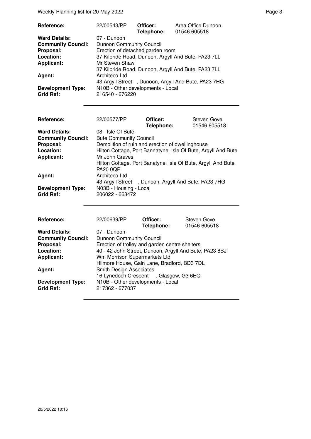Weekly Planning list for 20 May 2022 **Page 3** Page 3

| Reference:                | 22/00543/PP                       | Officer:   | Area Office Dunoon                                  |
|---------------------------|-----------------------------------|------------|-----------------------------------------------------|
|                           |                                   | Telephone: | 01546 605518                                        |
| <b>Ward Details:</b>      | 07 - Dunoon                       |            |                                                     |
| <b>Community Council:</b> | <b>Dunoon Community Council</b>   |            |                                                     |
| Proposal:                 | Erection of detached garden room  |            |                                                     |
| Location:                 |                                   |            | 37 Kilbride Road, Dunoon, Argyll And Bute, PA23 7LL |
| <b>Applicant:</b>         | Mr Steven Shaw                    |            |                                                     |
|                           |                                   |            | 37 Kilbride Road, Dunoon, Argyll And Bute, PA23 7LL |
| Agent:                    | Architeco Ltd                     |            |                                                     |
|                           |                                   |            | 43 Argyll Street, Dunoon, Argyll And Bute, PA23 7HG |
| <b>Development Type:</b>  | N10B - Other developments - Local |            |                                                     |
| <b>Grid Ref:</b>          | 216540 - 676220                   |            |                                                     |

| <b>Reference:</b>                            | 22/00577/PP                                            | Officer:<br>Telephone: | <b>Steven Gove</b><br>01546 605518                            |
|----------------------------------------------|--------------------------------------------------------|------------------------|---------------------------------------------------------------|
| <b>Ward Details:</b>                         | 08 - Isle Of Bute                                      |                        |                                                               |
| <b>Community Council:</b>                    | <b>Bute Community Council</b>                          |                        |                                                               |
| Proposal:                                    | Demolition of ruin and erection of dwellinghouse       |                        |                                                               |
| Location:                                    |                                                        |                        | Hilton Cottage, Port Bannatyne, Isle Of Bute, Argyll And Bute |
| <b>Applicant:</b>                            | Mr John Graves                                         |                        |                                                               |
|                                              | <b>PA20 0QP</b>                                        |                        | Hilton Cottage, Port Banatyne, Isle Of Bute, Argyll And Bute, |
| Agent:                                       | Architeco Ltd                                          |                        |                                                               |
|                                              | 43 Argyll Street , Dunoon, Argyll And Bute, PA23 7HG   |                        |                                                               |
| <b>Development Type:</b><br><b>Grid Ref:</b> | N03B - Housing - Local<br>206022 - 668472              |                        |                                                               |
|                                              |                                                        |                        |                                                               |
| Reference:                                   | 22/00639/PP                                            | Officer:               | <b>Steven Gove</b>                                            |
|                                              |                                                        | Telephone:             | 01546 605518                                                  |
| <b>Ward Details:</b>                         | 07 - Dunoon                                            |                        |                                                               |
| <b>Community Council:</b>                    | <b>Dunoon Community Council</b>                        |                        |                                                               |
| Proposal:                                    | Erection of trolley and garden centre shelters         |                        |                                                               |
| Location:                                    | 40 - 42 John Street, Dunoon, Arayll And Bute, PA23 8BJ |                        |                                                               |

| Erection of trolley and garden centre shelters         |
|--------------------------------------------------------|
| 40 - 42 John Street, Dunoon, Argyll And Bute, PA23 8BJ |
| Wm Morrison Supermarkets Ltd                           |
| Hilmore House, Gain Lane, Bradford, BD3 7DL            |
| <b>Smith Design Associates</b>                         |
| 16 Lynedoch Crescent, Glasgow, G3 6EQ                  |
| N10B - Other developments - Local                      |
| 217362 - 677037                                        |
|                                                        |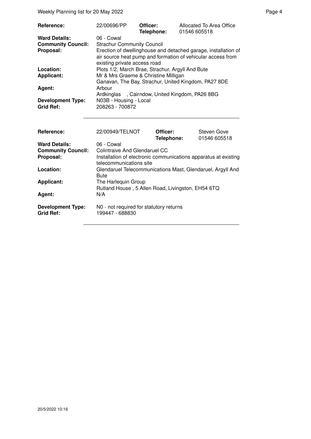Weekly Planning list for 20 May 2022 **Page 4** Page 4

| <b>Reference:</b>                            | 22/00696/PP                                      | Officer:<br>Telephone: | Allocated To Area Office<br>01546 605518                                                                                      |
|----------------------------------------------|--------------------------------------------------|------------------------|-------------------------------------------------------------------------------------------------------------------------------|
| <b>Ward Details:</b>                         | 06 - Cowal                                       |                        |                                                                                                                               |
| <b>Community Council:</b>                    | <b>Strachur Community Council</b>                |                        |                                                                                                                               |
| Proposal:                                    | existing private access road                     |                        | Erection of dwellinghouse and detached garage, installation of<br>air source heat pump and formation of vehicular access from |
| Location:                                    | Plots 1/2, March Brae, Strachur, Argyll And Bute |                        |                                                                                                                               |
| <b>Applicant:</b>                            | Mr & Mrs Graeme & Christine Milligan             |                        |                                                                                                                               |
|                                              |                                                  |                        | Ganavan, The Bay, Strachur, United Kingdom, PA27 8DE                                                                          |
| Agent:                                       | Arbour                                           |                        |                                                                                                                               |
|                                              | Ardkinglas, Cairndow, United Kingdom, PA26 8BG   |                        |                                                                                                                               |
| <b>Development Type:</b><br><b>Grid Ref:</b> | N03B - Housing - Local<br>208263 - 700872        |                        |                                                                                                                               |

| <b>Reference:</b>                            | 22/00949/TELNOT                                                                            | Officer:<br>Telephone: | Steven Gove<br>01546 605518 |
|----------------------------------------------|--------------------------------------------------------------------------------------------|------------------------|-----------------------------|
| <b>Ward Details:</b>                         | 06 - Cowal                                                                                 |                        |                             |
| <b>Community Council:</b>                    | Colintraive And Glendaruel CC                                                              |                        |                             |
| Proposal:                                    | Installation of electronic communications apparatus at existing<br>telecommunications site |                        |                             |
| Location:                                    | Glendaruel Telecommunications Mast, Glendaruel, Argyll And<br><b>Bute</b>                  |                        |                             |
| <b>Applicant:</b>                            | The Harlequin Group                                                                        |                        |                             |
|                                              | Rutland House, 5 Allen Road, Livingston, EH54 6TQ                                          |                        |                             |
| Agent:                                       | N/A                                                                                        |                        |                             |
| <b>Development Type:</b><br><b>Grid Ref:</b> | N0 - not required for statutory returns<br>199447 - 688830                                 |                        |                             |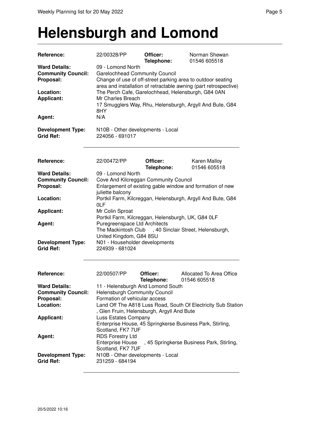#### **Helensburgh and Lomond**

| Reference:                                                                                       | 22/00328/PP                                                                                                                                                                                                 | Officer:<br>Telephone: | Norman Shewan<br>01546 605518                                                                                                |
|--------------------------------------------------------------------------------------------------|-------------------------------------------------------------------------------------------------------------------------------------------------------------------------------------------------------------|------------------------|------------------------------------------------------------------------------------------------------------------------------|
| <b>Ward Details:</b><br><b>Community Council:</b><br>Proposal:<br>Location:<br><b>Applicant:</b> | 09 - Lomond North<br><b>Garelochhead Community Council</b><br>Change of use of off-street parking area to outdoor seating<br>The Perch Cafe, Garelochhead, Helensburgh, G84 0AN<br>Mr Charles Breach<br>8HY |                        | area and installation of retractable awning (part retrospective)<br>17 Smugglers Way, Rhu, Helensburgh, Argyll And Bute, G84 |
| Agent:                                                                                           | N/A                                                                                                                                                                                                         |                        |                                                                                                                              |
| <b>Development Type:</b><br><b>Grid Ref:</b>                                                     | N10B - Other developments - Local<br>224056 - 691017                                                                                                                                                        |                        |                                                                                                                              |
| Reference:                                                                                       | 22/00472/PP                                                                                                                                                                                                 | Officer:<br>Telephone: | Karen Malloy<br>01546 605518                                                                                                 |
| <b>Ward Details:</b><br><b>Community Council:</b>                                                | 09 - Lomond North<br>Cove And Kilcreggan Community Council                                                                                                                                                  |                        |                                                                                                                              |
| Proposal:                                                                                        |                                                                                                                                                                                                             |                        | Enlargement of existing gable window and formation of new                                                                    |
| Location:                                                                                        | juliette balcony                                                                                                                                                                                            |                        |                                                                                                                              |
|                                                                                                  | 0LF                                                                                                                                                                                                         |                        | Portkil Farm, Kilcreggan, Helensburgh, Argyll And Bute, G84                                                                  |
| Applicant:                                                                                       | Mr Colin Sproat                                                                                                                                                                                             |                        |                                                                                                                              |
| Agent:                                                                                           | Portkil Farm, Kilcreggan, Helensburgh, UK, G84 0LF<br>Puregreenspace Ltd Architects<br>The Mackintosh Club , 40 Sinclair Street, Helensburgh,<br>United Kingdom, G84 8SU                                    |                        |                                                                                                                              |
| <b>Development Type:</b><br><b>Grid Ref:</b>                                                     | N01 - Householder developments<br>224939 - 681024                                                                                                                                                           |                        |                                                                                                                              |
| Reference:                                                                                       | 22/00507/PP                                                                                                                                                                                                 | Officer:<br>Telephone: | Allocated To Area Office<br>01546 605518                                                                                     |
| <b>Ward Details:</b>                                                                             | 11 - Helensburgh And Lomond South                                                                                                                                                                           |                        |                                                                                                                              |
| <b>Community Council:</b><br>Proposal:                                                           | <b>Helensburgh Community Council</b><br>Formation of vehicular access                                                                                                                                       |                        |                                                                                                                              |
| Location:                                                                                        | , Glen Fruin, Helensburgh, Argyll And Bute                                                                                                                                                                  |                        | Land Off The A818 Luss Road, South Of Electricity Sub Station                                                                |
| <b>Applicant:</b>                                                                                | Luss Estates Company<br>Enterprise House, 45 Springkerse Business Park, Stirling,<br>Scotland, FK7 7UF                                                                                                      |                        |                                                                                                                              |
| Agent:                                                                                           | RDS Forestry Ltd<br>Enterprise House<br>Scotland, FK7 7UF                                                                                                                                                   |                        | , 45 Springkerse Business Park, Stirling,                                                                                    |
| <b>Development Type:</b><br><b>Grid Ref:</b>                                                     | N10B - Other developments - Local<br>231259 - 684194                                                                                                                                                        |                        |                                                                                                                              |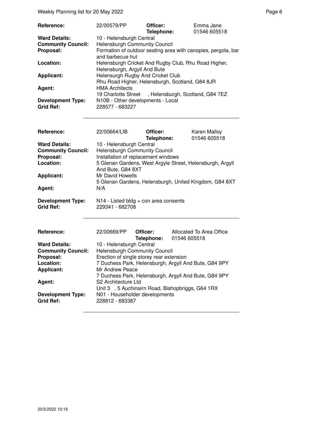| Reference:                | 22/00579/PP                                                                          | Officer:   | Emma Jane    |
|---------------------------|--------------------------------------------------------------------------------------|------------|--------------|
|                           |                                                                                      | Telephone: | 01546 605518 |
| <b>Ward Details:</b>      | 10 - Helensburgh Central                                                             |            |              |
| <b>Community Council:</b> | Helensburgh Community Council                                                        |            |              |
| Proposal:                 | Formation of outdoor seating area with canopies, pergola, bar<br>and barbecue hut    |            |              |
| Location:                 | Helensburgh Cricket And Rugby Club, Rhu Road Higher,<br>Helensburgh, Argyll And Bute |            |              |
| <b>Applicant:</b>         | Helensurgh Rugby And Cricket Club                                                    |            |              |
|                           | Rhu Road Higher, Helensburgh, Scotland, G84 8JR                                      |            |              |
| Agent:                    | <b>HMA Architects</b>                                                                |            |              |
|                           | 19 Charlotte Street, Helensburgh, Scotland, G84 7EZ                                  |            |              |
| <b>Development Type:</b>  | N10B - Other developments - Local                                                    |            |              |
| <b>Grid Ref:</b>          | 228577 - 683227                                                                      |            |              |

| Reference:                                                                                          | 22/00664/LIB                                                                                                                                     | Officer:<br>Telephone: | <b>Karen Malloy</b><br>01546 605518                                                                                 |
|-----------------------------------------------------------------------------------------------------|--------------------------------------------------------------------------------------------------------------------------------------------------|------------------------|---------------------------------------------------------------------------------------------------------------------|
| <b>Ward Details:</b><br><b>Community Council:</b><br>Proposal:<br>Location:<br>Applicant:<br>Agent: | 10 - Helensburgh Central<br>Helensburgh Community Council<br>Installation of replacement windows<br>And Bute, G84 8XT<br>Mr David Howells<br>N/A |                        | 5 Glenan Gardens, West Argyle Street, Helensburgh, Argyll<br>5 Glenan Gardens, Helensburgh, United Kingdom, G84 8XT |
| <b>Development Type:</b><br><b>Grid Ref:</b>                                                        | $N14$ - Listed bldg + con area consents<br>229341 - 682708                                                                                       |                        |                                                                                                                     |
| Reference:                                                                                          | 22/00669/PP                                                                                                                                      | Officer:               | Allocated To Area Office                                                                                            |
|                                                                                                     |                                                                                                                                                  | Telephone:             | 01546 605518                                                                                                        |
| <b>Ward Details:</b>                                                                                | 10 - Helensburgh Central                                                                                                                         |                        |                                                                                                                     |
| <b>Community Council:</b>                                                                           | <b>Helensburgh Community Council</b>                                                                                                             |                        |                                                                                                                     |
| Proposal:                                                                                           | Erection of single storey rear extension                                                                                                         |                        |                                                                                                                     |
| Location:                                                                                           |                                                                                                                                                  |                        | 7 Duchess Park, Helensburgh, Argyll And Bute, G84 9PY                                                               |
| <b>Applicant:</b>                                                                                   | Mr Andrew Peace                                                                                                                                  |                        |                                                                                                                     |
|                                                                                                     |                                                                                                                                                  |                        | 7 Duchess Park, Helensburgh, Argyll And Bute, G84 9PY                                                               |
| Agent:                                                                                              | S2 Architecture Ltd                                                                                                                              |                        |                                                                                                                     |
|                                                                                                     |                                                                                                                                                  |                        | Unit 3, 5 Auchinairn Road, Bishopbriggs, G64 1RX                                                                    |
| <b>Development Type:</b><br><b>Grid Ref:</b>                                                        | N01 - Householder developments<br>228812 - 683387                                                                                                |                        |                                                                                                                     |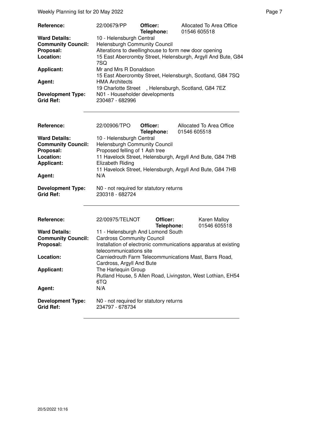Weekly Planning list for 20 May 2022 **Page 7** Neekly Planning list for 20 May 2022

| Reference:                                   | 22/00679/PP                                           | Officer:<br>Telephone: | Allocated To Area Office<br>01546 605518                     |
|----------------------------------------------|-------------------------------------------------------|------------------------|--------------------------------------------------------------|
| <b>Ward Details:</b>                         | 10 - Helensburgh Central                              |                        |                                                              |
| <b>Community Council:</b>                    | Helensburgh Community Council                         |                        |                                                              |
| Proposal:                                    | Alterations to dwellinghouse to form new door opening |                        |                                                              |
| Location:                                    | 7SQ                                                   |                        | 15 East Abercromby Street, Helensburgh, Argyll And Bute, G84 |
| <b>Applicant:</b>                            | Mr and Mrs R Donaldson                                |                        | 15 East Abercromby Street, Helensburgh, Scotland, G84 7SQ    |
| Agent:                                       | <b>HMA Architects</b>                                 |                        | 19 Charlotte Street, Helensburgh, Scotland, G84 7EZ          |
| <b>Development Type:</b><br><b>Grid Ref:</b> | N01 - Householder developments<br>230487 - 682996     |                        |                                                              |

| Reference:                                   | 22/00906/TPO                                               | Officer:<br>Telephone: | Allocated To Area Office<br>01546 605518                        |
|----------------------------------------------|------------------------------------------------------------|------------------------|-----------------------------------------------------------------|
| <b>Ward Details:</b>                         | 10 - Helensburgh Central                                   |                        |                                                                 |
| <b>Community Council:</b>                    | <b>Helensburgh Community Council</b>                       |                        |                                                                 |
| Proposal:                                    | Proposed felling of 1 Ash tree                             |                        |                                                                 |
| Location:                                    |                                                            |                        | 11 Havelock Street, Helensburgh, Argyll And Bute, G84 7HB       |
| <b>Applicant:</b>                            | Elizabeth Riding                                           |                        |                                                                 |
|                                              |                                                            |                        | 11 Havelock Street, Helensburgh, Argyll And Bute, G84 7HB       |
| Agent:                                       | N/A                                                        |                        |                                                                 |
| <b>Development Type:</b><br><b>Grid Ref:</b> | N0 - not required for statutory returns<br>230318 - 682724 |                        |                                                                 |
|                                              |                                                            |                        |                                                                 |
| Reference:                                   | 22/00975/TELNOT                                            | Officer:<br>Telephone: | Karen Malloy<br>01546 605518                                    |
| <b>Ward Details:</b>                         | 11 - Helensburgh And Lomond South                          |                        |                                                                 |
| <b>Community Council:</b>                    | <b>Cardross Community Council</b>                          |                        |                                                                 |
| Proposal:                                    | telecommunications site                                    |                        | Installation of electronic communications apparatus at existing |
| Location:                                    | Cardross, Argyll And Bute                                  |                        | Carniedrouth Farm Telecommunications Mast, Barrs Road,          |
| <b>Applicant:</b>                            | The Harlequin Group<br>6TQ                                 |                        | Rutland House, 5 Allen Road, Livingston, West Lothian, EH54     |
| Agent:                                       | N/A                                                        |                        |                                                                 |

**N0 - not required for statutory returns 234797 - 678734 Development Type:**<br>Grid Ref: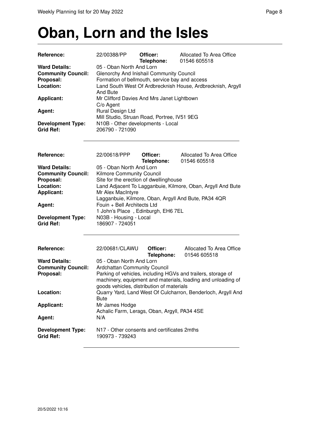#### **Oban, Lorn and the Isles**

| Reference:                                                                  | 22/00388/PP                                                                                                                                                                                       | Officer:<br>Telephone:                      | Allocated To Area Office<br>01546 605518                     |  |  |
|-----------------------------------------------------------------------------|---------------------------------------------------------------------------------------------------------------------------------------------------------------------------------------------------|---------------------------------------------|--------------------------------------------------------------|--|--|
| <b>Ward Details:</b><br><b>Community Council:</b><br>Proposal:<br>Location: | 05 - Oban North And Lorn<br>Glenorchy And Inishail Community Council<br>Formation of bellmouth, service bay and access<br>Land South West Of Ardbrecknish House, Ardbrecknish, Argyll<br>And Bute |                                             |                                                              |  |  |
| <b>Applicant:</b>                                                           | C/o Agent                                                                                                                                                                                         | Mr Clifford Davies And Mrs Janet Lightbown  |                                                              |  |  |
| Agent:                                                                      | Rural Design Ltd                                                                                                                                                                                  | Mill Studio, Struan Road, Portree, IV51 9EG |                                                              |  |  |
| <b>Development Type:</b><br><b>Grid Ref:</b>                                | 206790 - 721090                                                                                                                                                                                   | N10B - Other developments - Local           |                                                              |  |  |
| Reference:                                                                  | 22/00618/PPP                                                                                                                                                                                      | Officer:<br>Telephone:                      | Allocated To Area Office<br>01546 605518                     |  |  |
| <b>Ward Details:</b><br><b>Community Council:</b><br>Proposal:              | 05 - Oban North And Lorn<br>Kilmore Community Council                                                                                                                                             |                                             |                                                              |  |  |
| Location:<br><b>Applicant:</b>                                              | Site for the erection of dwellinghouse<br>Land Adjacent To Lagganbuie, Kilmore, Oban, Argyll And Bute<br>Mr Alex MacIntyre                                                                        |                                             |                                                              |  |  |
| Agent:                                                                      | Lagganbuie, Kilmore, Oban, Argyll And Bute, PA34 4QR<br>Fouin + Bell Architects Ltd<br>1 John's Place, Edinburgh, EH6 7EL                                                                         |                                             |                                                              |  |  |
| <b>Development Type:</b><br><b>Grid Ref:</b>                                | N03B - Housing - Local<br>186907 - 724051                                                                                                                                                         |                                             |                                                              |  |  |
| Reference:                                                                  | 22/00681/CLAWU                                                                                                                                                                                    | Officer:<br>Telephone:                      | Allocated To Area Office<br>01546 605518                     |  |  |
| <b>Ward Details:</b><br><b>Community Council:</b><br>Proposal:              | 05 - Oban North And Lorn<br><b>Ardchattan Community Council</b>                                                                                                                                   |                                             | Parking of vehicles, including HGVs and trailers, storage of |  |  |

goods vehicles, distribution of materials Location: **Calculary Yard, Land West Of Culcharron, Benderloch, Argyll And** 

Achalic Farm, Lerags, Oban, Argyll, PA34 4SE

Bute

**Development Type:** N17 - Other consents and certificates 2mths

**Applicant:** Mr James Hodge

**Grid Ref:** 190973 - 739243

**Ag ent:** N/A

20/5/2022 10:16

machinery, equipment and materials, loading and unloading of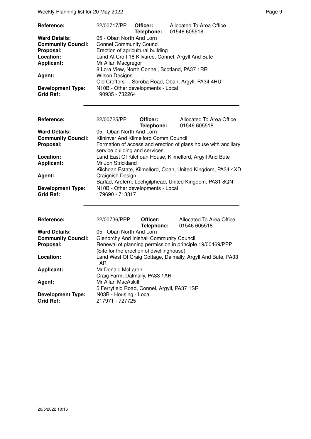Weekly Planning list for 20 May 2022 **Page 9** Page 9

| $\frac{1}{2}$ and $\frac{1}{2}$ in the state of the state of $\frac{1}{2}$ |                                                             |                        |                                                                |  |  |
|----------------------------------------------------------------------------|-------------------------------------------------------------|------------------------|----------------------------------------------------------------|--|--|
| Reference:                                                                 | 22/00717/PP                                                 | Officer:<br>Telephone: | Allocated To Area Office<br>01546 605518                       |  |  |
| <b>Ward Details:</b>                                                       | 05 - Oban North And Lorn                                    |                        |                                                                |  |  |
| <b>Community Council:</b>                                                  | <b>Connel Community Council</b>                             |                        |                                                                |  |  |
| Proposal:                                                                  | Erection of agricultural building                           |                        |                                                                |  |  |
| Location:                                                                  |                                                             |                        | Land At Croft 18 Kilvaree, Connel, Argyll And Bute             |  |  |
| <b>Applicant:</b>                                                          | Mr Allan Macgregor                                          |                        |                                                                |  |  |
|                                                                            |                                                             |                        | 8 Lora View, North Connel, Scotland, PA37 1RR                  |  |  |
| Agent:                                                                     | <b>Wilson Designs</b>                                       |                        |                                                                |  |  |
|                                                                            | N10B - Other developments - Local                           |                        | Old Crofters, Soroba Road, Oban, Argyll, PA34 4HU              |  |  |
| <b>Development Type:</b><br><b>Grid Ref:</b>                               | 190935 - 732264                                             |                        |                                                                |  |  |
|                                                                            |                                                             |                        |                                                                |  |  |
|                                                                            |                                                             |                        |                                                                |  |  |
|                                                                            |                                                             |                        |                                                                |  |  |
| Reference:                                                                 | 22/00725/PP                                                 | Officer:<br>Telephone: | Allocated To Area Office<br>01546 605518                       |  |  |
| <b>Ward Details:</b>                                                       | 05 - Oban North And Lorn                                    |                        |                                                                |  |  |
| <b>Community Council:</b>                                                  | Kilninver And Kilmelford Comm Council                       |                        |                                                                |  |  |
| Proposal:                                                                  |                                                             |                        | Formation of access and erection of glass house with ancillary |  |  |
|                                                                            | service building and services                               |                        |                                                                |  |  |
| Location:                                                                  |                                                             |                        | Land East Of Kilchoan House, Kilmelford, Argyll And Bute       |  |  |
| <b>Applicant:</b>                                                          | Mr Jon Strickland                                           |                        |                                                                |  |  |
|                                                                            |                                                             |                        | Kilchoan Estate, Kilmelford, Oban, United Kingdom, PA34 4XD    |  |  |
| Agent:                                                                     | Craignish Design                                            |                        |                                                                |  |  |
|                                                                            |                                                             |                        | Barfad, Ardfern, Lochgilphead, United Kingdom, PA31 8QN        |  |  |
| <b>Development Type:</b><br><b>Grid Ref:</b>                               | N10B - Other developments - Local                           |                        |                                                                |  |  |
|                                                                            | 179690 - 713317                                             |                        |                                                                |  |  |
|                                                                            |                                                             |                        |                                                                |  |  |
|                                                                            |                                                             |                        |                                                                |  |  |
| Reference:                                                                 | 22/00736/PPP                                                | Officer:               | Allocated To Area Office                                       |  |  |
|                                                                            |                                                             | Telephone:             | 01546 605518                                                   |  |  |
| <b>Ward Details:</b>                                                       | 05 - Oban North And Lorn                                    |                        |                                                                |  |  |
| <b>Community Council:</b>                                                  | Glenorchy And Inishail Community Council                    |                        |                                                                |  |  |
| Proposal:                                                                  |                                                             |                        | Renewal of planning permission in principle 19/00469/PPP       |  |  |
|                                                                            | (Site for the erection of dwellinghouse)                    |                        |                                                                |  |  |
| Location:                                                                  | Land West Of Craig Cottage, Dalmally, Argyll And Bute, PA33 |                        |                                                                |  |  |

Craig Farm, Dalmally, PA33 1AR

5 Ferryfield Road, Connel, Argyll, PA37 1SR

1AR

**Grid Ref:** 217971 - 727725

**Applicant:** Mr Donald McLaren

**Agent:** Mr Allan MacAskill

**Development Type:** N03B - Housing - Local<br>Grid Ref: 217971 - 727725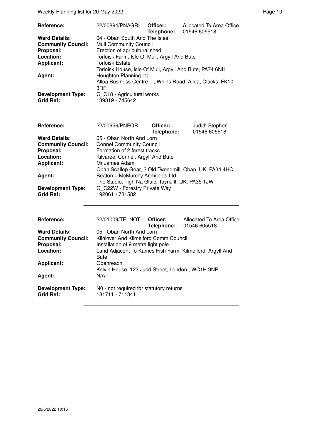| Reference:<br><b>Ward Details:</b><br><b>Community Council:</b><br>Proposal:<br>Location:<br><b>Applicant:</b><br>Agent:<br><b>Development Type:</b><br>Grid Ref: | 22/00894/PNAGRI<br>04 - Oban South And The Isles<br><b>Mull Community Council</b><br>Erection of agricultural shed<br>Torloisk Farm, Isle Of Mull, Argyll And Bute<br><b>Torloisk Estate</b><br>Torloisk House, Isle Of Mull, Argyll And Bute, PA74 6NH<br>Houghton Planning Ltd<br>3RF<br>G C18 - Agricultural works<br>139319 - 745642 | Officer:<br>Telephone: | Allocated To Area Office<br>01546 605518<br>Alloa Business Centre , Whins Road, Alloa, Clacks, FK10 |
|-------------------------------------------------------------------------------------------------------------------------------------------------------------------|------------------------------------------------------------------------------------------------------------------------------------------------------------------------------------------------------------------------------------------------------------------------------------------------------------------------------------------|------------------------|-----------------------------------------------------------------------------------------------------|
| Reference:                                                                                                                                                        | 22/00956/PNFOR                                                                                                                                                                                                                                                                                                                           | Officer:<br>Telephone: | Judith Stephen<br>01546 605518                                                                      |
| <b>Ward Details:</b>                                                                                                                                              | 05 - Oban North And Lorn                                                                                                                                                                                                                                                                                                                 |                        |                                                                                                     |
| <b>Community Council:</b><br>Proposal:                                                                                                                            | <b>Connel Community Council</b><br>Formation of 2 forest tracks                                                                                                                                                                                                                                                                          |                        |                                                                                                     |
| Location:                                                                                                                                                         | Kilvaree, Connel, Argyll And Bute                                                                                                                                                                                                                                                                                                        |                        |                                                                                                     |
| <b>Applicant:</b>                                                                                                                                                 | Mr James Adam                                                                                                                                                                                                                                                                                                                            |                        |                                                                                                     |
|                                                                                                                                                                   | Oban Scallop Gear, 2 Old Tweedmill, Oban, UK, PA34 4HQ                                                                                                                                                                                                                                                                                   |                        |                                                                                                     |
| Agent:                                                                                                                                                            | Beaton + McMurchy Architects Ltd.                                                                                                                                                                                                                                                                                                        |                        |                                                                                                     |
|                                                                                                                                                                   | The Studio, Tigh Na Glaic, Taynuilt, UK, PA35 1JW                                                                                                                                                                                                                                                                                        |                        |                                                                                                     |

**Development Type:** G\_C22W - Forestry Private Way **Development Type:**<br>Grid Ref:

| <b>Reference:</b>                            | 22/01009/TELNOT                                            | Officer:<br>Telephone: | Allocated To Area Office<br>01546 605518 |
|----------------------------------------------|------------------------------------------------------------|------------------------|------------------------------------------|
| <b>Ward Details:</b>                         | 05 - Oban North And Lorn                                   |                        |                                          |
| <b>Community Council:</b>                    | Kilninver And Kilmelford Comm Council                      |                        |                                          |
| Proposal:                                    | Installation of 9 metre light pole                         |                        |                                          |
| Location:                                    | Land Adjacent To Kames Fish Farm, Kilmelford, Argyll And   |                        |                                          |
|                                              | <b>Bute</b>                                                |                        |                                          |
| <b>Applicant:</b>                            | Openreach                                                  |                        |                                          |
|                                              | Kelvin House, 123 Judd Street, London, WC1H 9NP            |                        |                                          |
| Agent:                                       | N/A                                                        |                        |                                          |
| <b>Development Type:</b><br><b>Grid Ref:</b> | N0 - not required for statutory returns<br>181711 - 711341 |                        |                                          |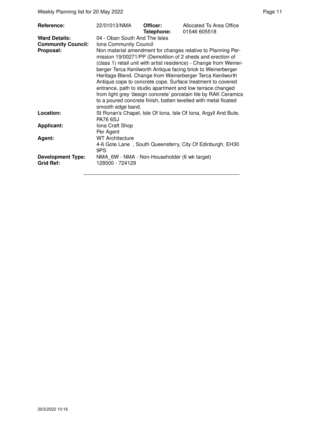| <b>Reference:</b><br><b>Ward Details:</b>    | 22/01013/NMA<br>04 - Oban South And The Isles                                                                                                                                                                                                                                                                                                                                                                                                                                                                                                                                                                                                    | Officer:<br>Telephone: | Allocated To Area Office<br>01546 605518                        |  |  |
|----------------------------------------------|--------------------------------------------------------------------------------------------------------------------------------------------------------------------------------------------------------------------------------------------------------------------------------------------------------------------------------------------------------------------------------------------------------------------------------------------------------------------------------------------------------------------------------------------------------------------------------------------------------------------------------------------------|------------------------|-----------------------------------------------------------------|--|--|
| <b>Community Council:</b><br>Proposal:       | Iona Community Council<br>Non material amendment for changes relative to Planning Per-<br>mission 19/00271/PP (Demolition of 2 sheds and erection of<br>(class 1) retail unit with artist residence) - Change from Weiner-<br>berger Terca Kenilworth Antique facing brick to Weinerberger<br>Heritage Blend. Change from Weinerberger Terca Kenilworth<br>Antique cope to concrete cope. Surface treatment to covered<br>entrance, path to studio apartment and low terrace changed<br>from light grey 'design concrete' porcelain tile by RAK Ceramics<br>to a poured concrete finish, batten levelled with metal floated<br>smooth edge band. |                        |                                                                 |  |  |
| Location:                                    | <b>PA76 6SJ</b>                                                                                                                                                                                                                                                                                                                                                                                                                                                                                                                                                                                                                                  |                        | St Ronan's Chapel, Isle Of Iona, Isle Of Iona, Argyll And Bute, |  |  |
| <b>Applicant:</b>                            | Iona Craft Shop<br>Per Agent                                                                                                                                                                                                                                                                                                                                                                                                                                                                                                                                                                                                                     |                        |                                                                 |  |  |
| Agent:                                       | <b>WT Architecture</b><br>4-6 Gote Lane, South Queensferry, City Of Edinburgh, EH30<br>9PS                                                                                                                                                                                                                                                                                                                                                                                                                                                                                                                                                       |                        |                                                                 |  |  |
| <b>Development Type:</b><br><b>Grid Ref:</b> | NMA 6W - NMA - Non-Householder (6 wk target)<br>128500 - 724129                                                                                                                                                                                                                                                                                                                                                                                                                                                                                                                                                                                  |                        |                                                                 |  |  |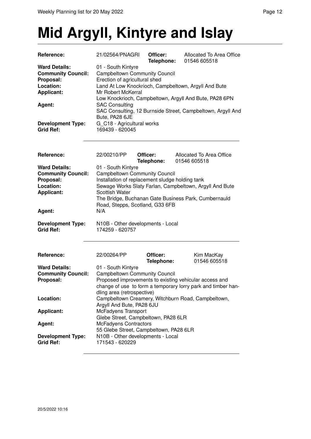## **Mid Argyll, Kintyre and Islay**

| Reference:                                        | 21/02564/PNAGRI                                            | Officer:<br>Telephone: | Allocated To Area Office<br>01546 605518                     |  |
|---------------------------------------------------|------------------------------------------------------------|------------------------|--------------------------------------------------------------|--|
| <b>Ward Details:</b><br><b>Community Council:</b> | 01 - South Kintyre<br><b>Campbeltown Community Council</b> |                        |                                                              |  |
| Proposal:                                         | Erection of agricultural shed                              |                        |                                                              |  |
| Location:                                         |                                                            |                        | Land At Low Knockrioch, Campbeltown, Argyll And Bute         |  |
| <b>Applicant:</b>                                 | Mr Robert McKerral                                         |                        |                                                              |  |
|                                                   |                                                            |                        | Low Knockrioch, Campbeltown, Argyll And Bute, PA28 6PN       |  |
| Agent:                                            | <b>SAC Consulting</b>                                      |                        |                                                              |  |
|                                                   |                                                            |                        | SAC Consulting, 12 Burnside Street, Campbeltown, Argyll And  |  |
| <b>Development Type:</b>                          | Bute, PA28 6JE<br>G_C18 - Agricultural works               |                        |                                                              |  |
| <b>Grid Ref:</b>                                  | 169439 - 620045                                            |                        |                                                              |  |
|                                                   |                                                            |                        |                                                              |  |
| Reference:                                        | 22/00210/PP                                                | Officer:<br>Telephone: | Allocated To Area Office<br>01546 605518                     |  |
| <b>Ward Details:</b>                              | 01 - South Kintyre                                         |                        |                                                              |  |
| <b>Community Council:</b>                         | <b>Campbeltown Community Council</b>                       |                        |                                                              |  |
| Proposal:                                         | Installation of replacement sludge holding tank            |                        |                                                              |  |
| Location:                                         |                                                            |                        | Sewage Works Slaty Farlan, Campbeltown, Argyll And Bute      |  |
| <b>Applicant:</b>                                 | <b>Scottish Water</b>                                      |                        |                                                              |  |
|                                                   |                                                            |                        | The Bridge, Buchanan Gate Business Park, Cumbernauld         |  |
|                                                   | Road, Stepps, Scotland, G33 6FB<br>N/A                     |                        |                                                              |  |
| Agent:                                            |                                                            |                        |                                                              |  |
| <b>Development Type:</b>                          | N10B - Other developments - Local                          |                        |                                                              |  |
| <b>Grid Ref:</b>                                  | 174259 - 620757                                            |                        |                                                              |  |
| Reference:                                        | 22/00264/PP                                                | Officer:<br>Telephone: | Kim MacKay<br>01546 605518                                   |  |
| <b>Ward Details:</b>                              | 01 - South Kintyre                                         |                        |                                                              |  |
| <b>Community Council:</b>                         | <b>Campbeltown Community Council</b>                       |                        |                                                              |  |
| Proposal:                                         |                                                            |                        | Proposed improvements to existing vehicular access and       |  |
|                                                   |                                                            |                        | change of use to form a temporary lorry park and timber han- |  |
|                                                   | dling area (retrospective)                                 |                        |                                                              |  |
| Location:                                         |                                                            |                        | Campbeltown Creamery, Witchburn Road, Campbeltown,           |  |
|                                                   | Argyll And Bute, PA28 6JU                                  |                        |                                                              |  |
| <b>Applicant:</b>                                 | McFadyens Transport<br>Glebe Street, Campbeltown, PA28 6LR |                        |                                                              |  |
| Agent:                                            | <b>McFadyens Contractors</b>                               |                        |                                                              |  |
|                                                   | 55 Glebe Street, Campbeltown, PA28 6LR                     |                        |                                                              |  |
| <b>Development Type:</b>                          | N10B - Other developments - Local                          |                        |                                                              |  |
| <b>Grid Ref:</b>                                  | 171543 - 620229                                            |                        |                                                              |  |
|                                                   |                                                            |                        |                                                              |  |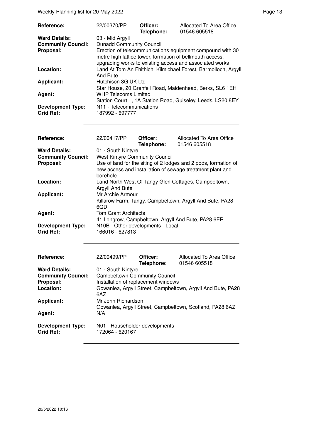Weekly Planning list for 20 May 2022 **Page 13** Page 13

| Reference:                | 22/00370/PP                                                                                                                                                                      | Officer:<br>Telephone: | Allocated To Area Office<br>01546 605518                       |  |
|---------------------------|----------------------------------------------------------------------------------------------------------------------------------------------------------------------------------|------------------------|----------------------------------------------------------------|--|
| <b>Ward Details:</b>      | 03 - Mid Argyll                                                                                                                                                                  |                        |                                                                |  |
| <b>Community Council:</b> | <b>Dunadd Community Council</b>                                                                                                                                                  |                        |                                                                |  |
| Proposal:                 | Erection of telecommunications equipment compound with 30<br>metre high lattice tower, formation of bellmouth access,<br>upgrading works to existing access and associated works |                        |                                                                |  |
| Location:                 | And Bute                                                                                                                                                                         |                        | Land At Tom An Fhithich, Kilmichael Forest, Barmolloch, Argyll |  |
| <b>Applicant:</b>         | Hutchison 3G UK Ltd                                                                                                                                                              |                        |                                                                |  |
|                           |                                                                                                                                                                                  |                        | Star House, 20 Grenfell Road, Maidenhead, Berks, SL6 1EH       |  |
| Agent:                    | <b>WHP Telecoms Limited</b>                                                                                                                                                      |                        |                                                                |  |
|                           |                                                                                                                                                                                  |                        | Station Court, 1A Station Road, Guiseley, Leeds, LS20 8EY      |  |
| <b>Development Type:</b>  | N11 - Telecommunications                                                                                                                                                         |                        |                                                                |  |
| <b>Grid Ref:</b>          | 187992 - 697777                                                                                                                                                                  |                        |                                                                |  |

| <b>Reference:</b>                            | 22/00417/PP                                                                                                                              | Officer:<br>Telephone: | Allocated To Area Office<br>01546 605518 |  |
|----------------------------------------------|------------------------------------------------------------------------------------------------------------------------------------------|------------------------|------------------------------------------|--|
| <b>Ward Details:</b>                         | 01 - South Kintyre                                                                                                                       |                        |                                          |  |
| <b>Community Council:</b>                    | <b>West Kintyre Community Council</b>                                                                                                    |                        |                                          |  |
| Proposal:                                    | Use of land for the siting of 2 lodges and 2 pods, formation of<br>new access and installation of sewage treatment plant and<br>borehole |                        |                                          |  |
| Location:                                    | Land North West Of Tangy Glen Cottages, Campbeltown,<br>Argyll And Bute                                                                  |                        |                                          |  |
| <b>Applicant:</b>                            | Mr Archie Armour<br>Killarow Farm, Tangy, Campbeltown, Argyll And Bute, PA28<br>6QD                                                      |                        |                                          |  |
| Agent:                                       | <b>Tom Grant Architects</b><br>41 Longrow, Campbeltown, Argyll And Bute, PA28 6ER                                                        |                        |                                          |  |
| <b>Development Type:</b><br><b>Grid Ref:</b> | N10B - Other developments - Local<br>166016 - 627813                                                                                     |                        |                                          |  |

| <b>Reference:</b>         | 22/00499/PP                                                 | Officer:<br>Telephone: | Allocated To Area Office<br>01546 605518 |
|---------------------------|-------------------------------------------------------------|------------------------|------------------------------------------|
| <b>Ward Details:</b>      | 01 - South Kintyre                                          |                        |                                          |
| <b>Community Council:</b> | <b>Campbeltown Community Council</b>                        |                        |                                          |
| Proposal:                 | Installation of replacement windows                         |                        |                                          |
| Location:                 | Gowanlea, Argyll Street, Campbeltown, Argyll And Bute, PA28 |                        |                                          |
|                           | 6AZ                                                         |                        |                                          |
| <b>Applicant:</b>         | Mr John Richardson                                          |                        |                                          |
|                           | Gowanlea, Argyll Street, Campbeltown, Scotland, PA28 6AZ    |                        |                                          |
| Agent:                    | N/A                                                         |                        |                                          |
| <b>Development Type:</b>  | N01 - Householder developments                              |                        |                                          |
| <b>Grid Ref:</b>          | 172064 - 620167                                             |                        |                                          |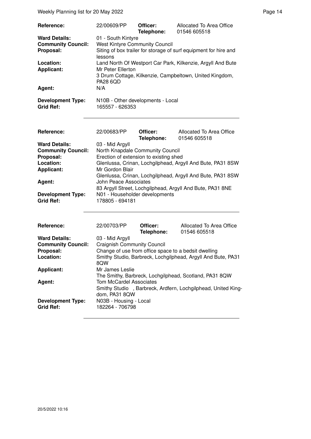| <b>Reference:</b>                            | 22/00609/PP                                                                 | Officer:<br>Telephone: | Allocated To Area Office<br>01546 605518 |  |  |
|----------------------------------------------|-----------------------------------------------------------------------------|------------------------|------------------------------------------|--|--|
| <b>Ward Details:</b>                         | 01 - South Kintyre                                                          |                        |                                          |  |  |
| <b>Community Council:</b>                    | <b>West Kintyre Community Council</b>                                       |                        |                                          |  |  |
| Proposal:                                    | Siting of box trailer for storage of surf equipment for hire and<br>lessons |                        |                                          |  |  |
| Location:                                    | Land North Of Westport Car Park, Kilkenzie, Argyll And Bute                 |                        |                                          |  |  |
| <b>Applicant:</b>                            | Mr Peter Ellerton                                                           |                        |                                          |  |  |
|                                              | 3 Drum Cottage, Kilkenzie, Campbeltown, United Kingdom,<br><b>PA28 6QD</b>  |                        |                                          |  |  |
| Agent:                                       | N/A                                                                         |                        |                                          |  |  |
| <b>Development Type:</b><br><b>Grid Ref:</b> | N10B - Other developments - Local<br>165557 - 626353                        |                        |                                          |  |  |

| Reference:                | 22/00683/PP                            | Officer:<br>Telephone: | Allocated To Area Office<br>01546 605518                   |
|---------------------------|----------------------------------------|------------------------|------------------------------------------------------------|
| <b>Ward Details:</b>      | 03 - Mid Argyll                        |                        |                                                            |
| <b>Community Council:</b> | North Knapdale Community Council       |                        |                                                            |
| Proposal:                 | Erection of extension to existing shed |                        |                                                            |
| Location:                 |                                        |                        | Glenlussa, Crinan, Lochgilphead, Argyll And Bute, PA31 8SW |
| <b>Applicant:</b>         | Mr Gordon Blair                        |                        |                                                            |
|                           |                                        |                        | Glenlussa, Crinan, Lochgilphead, Argyll And Bute, PA31 8SW |
| Agent:                    | John Peace Associates                  |                        |                                                            |
|                           |                                        |                        | 83 Argyll Street, Lochgilphead, Argyll And Bute, PA31 8NE  |
| <b>Development Type:</b>  | N01 - Householder developments         |                        |                                                            |
| <b>Grid Ref:</b>          | 178805 - 694181                        |                        |                                                            |
|                           |                                        |                        |                                                            |

| <b>Reference:</b>         | 22/00703/PP                                                  | Officer:<br>Telephone: | Allocated To Area Office<br>01546 605518               |
|---------------------------|--------------------------------------------------------------|------------------------|--------------------------------------------------------|
| <b>Ward Details:</b>      | 03 - Mid Argyll                                              |                        |                                                        |
| <b>Community Council:</b> | <b>Craignish Community Council</b>                           |                        |                                                        |
| Proposal:                 | Change of use from office space to a bedsit dwelling         |                        |                                                        |
| Location:                 | Smithy Studio, Barbreck, Lochgilphead, Argyll And Bute, PA31 |                        |                                                        |
|                           | 8QW                                                          |                        |                                                        |
| <b>Applicant:</b>         | Mr James Leslie                                              |                        |                                                        |
|                           |                                                              |                        | The Smithy, Barbreck, Lochgilphead, Scotland, PA31 8QW |
| Agent:                    | Tom McCardel Associates                                      |                        |                                                        |
|                           | Smithy Studio, Barbreck, Ardfern, Lochgilphead, United King- |                        |                                                        |
|                           | dom. PA31 8QW                                                |                        |                                                        |
| <b>Development Type:</b>  | N03B - Housing - Local                                       |                        |                                                        |
| <b>Grid Ref:</b>          | 182264 - 706798                                              |                        |                                                        |
|                           |                                                              |                        |                                                        |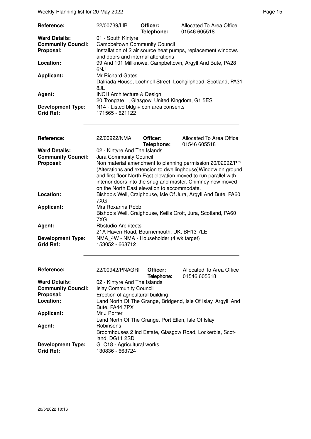| Reference:                | 22/00739/LIB                                                  | Officer:   | Allocated To Area Office |
|---------------------------|---------------------------------------------------------------|------------|--------------------------|
|                           |                                                               | Telephone: | 01546 605518             |
| <b>Ward Details:</b>      | 01 - South Kintyre                                            |            |                          |
| <b>Community Council:</b> | <b>Campbeltown Community Council</b>                          |            |                          |
| Proposal:                 | Installation of 2 air source heat pumps, replacement windows  |            |                          |
|                           | and doors and internal alterations                            |            |                          |
| Location:                 | 99 And 101 Millknowe, Campbeltown, Argyll And Bute, PA28      |            |                          |
|                           | 6NJ                                                           |            |                          |
| <b>Applicant:</b>         | Mr Richard Gates                                              |            |                          |
|                           | Dalriada House, Lochnell Street, Lochgilphead, Scotland, PA31 |            |                          |
|                           | 8JL                                                           |            |                          |
| Agent:                    | <b>INCH Architecture &amp; Design</b>                         |            |                          |
|                           | 20 Trongate, Glasgow, United Kingdom, G1 5ES                  |            |                          |
| <b>Development Type:</b>  | $N14$ - Listed bldg + con area consents                       |            |                          |
| <b>Grid Ref:</b>          | 171565 - 621122                                               |            |                          |

| Reference:                                                     | 22/00922/NMA                                                                                                                                                                                                                                                                                                                                                         | Officer:<br>Telephone: | Allocated To Area Office<br>01546 605518 |
|----------------------------------------------------------------|----------------------------------------------------------------------------------------------------------------------------------------------------------------------------------------------------------------------------------------------------------------------------------------------------------------------------------------------------------------------|------------------------|------------------------------------------|
| <b>Ward Details:</b><br><b>Community Council:</b><br>Proposal: | 02 - Kintyre And The Islands<br>Jura Community Council<br>Non material amendment to planning permission 20/02092/PP<br>(Alterations and extension to dwellinghouse) Window on ground<br>and first floor North East elevation moved to run parallel with<br>interior doors into the snug and master. Chimney now moved<br>on the North East elevation to accommodate. |                        |                                          |
| Location:                                                      | Bishop's Well, Craighouse, Isle Of Jura, Argyll And Bute, PA60<br>7XG                                                                                                                                                                                                                                                                                                |                        |                                          |
| <b>Applicant:</b>                                              | Mrs Roxanna Robb<br>Bishop's Well, Craighouse, Keills Croft, Jura, Scotland, PA60<br>7XG                                                                                                                                                                                                                                                                             |                        |                                          |
| Agent:                                                         | <b>Rbstudio Architects</b><br>21A Haven Road, Bournemouth, UK, BH13 7LE                                                                                                                                                                                                                                                                                              |                        |                                          |
| <b>Development Type:</b><br><b>Grid Ref:</b>                   | NMA 4W - NMA - Householder (4 wk target)<br>153052 - 668712                                                                                                                                                                                                                                                                                                          |                        |                                          |

| <b>Reference:</b>                            | 22/00942/PNAGRI                                               | Officer:<br>Telephone: | Allocated To Area Office<br>01546 605518                 |
|----------------------------------------------|---------------------------------------------------------------|------------------------|----------------------------------------------------------|
| <b>Ward Details:</b>                         | 02 - Kintyre And The Islands                                  |                        |                                                          |
| <b>Community Council:</b>                    | <b>Islay Community Council</b>                                |                        |                                                          |
| Proposal:                                    | Erection of agricultural building                             |                        |                                                          |
| Location:                                    | Land North Of The Grange, Bridgend, Isle Of Islay, Argyll And |                        |                                                          |
|                                              | Bute, PA44 7PX                                                |                        |                                                          |
| <b>Applicant:</b>                            | Mr J Porter                                                   |                        |                                                          |
|                                              | Land North Of The Grange, Port Ellen, Isle Of Islay           |                        |                                                          |
| Agent:                                       | <b>Robinsons</b>                                              |                        |                                                          |
|                                              | land, DG11 2SD                                                |                        | Broomhouses 2 Ind Estate, Glasgow Road, Lockerbie, Scot- |
| <b>Development Type:</b><br><b>Grid Ref:</b> | G C18 - Agricultural works<br>130836 - 663724                 |                        |                                                          |